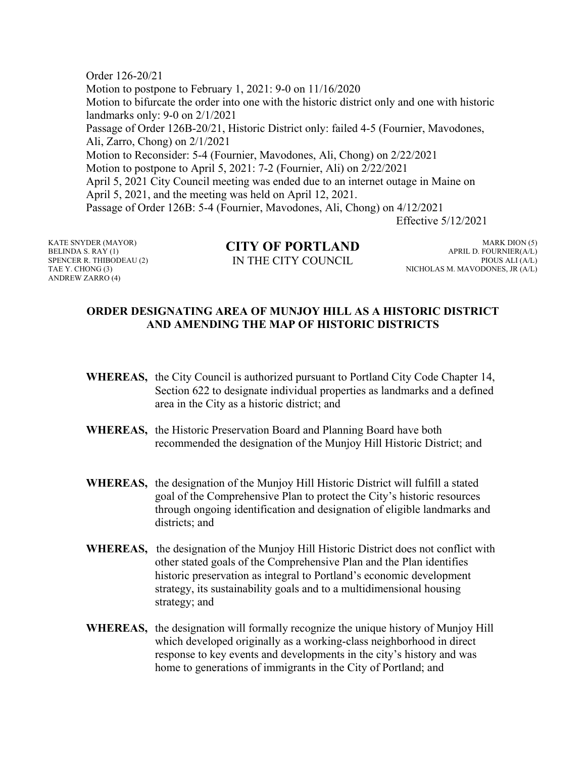Order 126-20/21 Motion to postpone to February 1, 2021: 9-0 on 11/16/2020 Motion to bifurcate the order into one with the historic district only and one with historic landmarks only: 9-0 on 2/1/2021 Passage of Order 126B-20/21, Historic District only: failed 4-5 (Fournier, Mavodones, Ali, Zarro, Chong) on 2/1/2021 Motion to Reconsider: 5-4 (Fournier, Mavodones, Ali, Chong) on 2/22/2021 Motion to postpone to April 5, 2021: 7-2 (Fournier, Ali) on 2/22/2021 April 5, 2021 City Council meeting was ended due to an internet outage in Maine on April 5, 2021, and the meeting was held on April 12, 2021. Passage of Order 126B: 5-4 (Fournier, Mavodones, Ali, Chong) on 4/12/2021 Effective 5/12/2021

KATE SNYDER (MAYOR) BELINDA S. RAY (1) SPENCER R. THIBODEAU (2) TAE Y. CHONG (3) ANDREW ZARRO (4)

**CITY OF PORTLAND** IN THE CITY COUNCIL

MARK DION (5) APRIL D. FOURNIER(A/L) PIOUS ALI (A/L) NICHOLAS M. MAVODONES, JR (A/L)

## **ORDER DESIGNATING AREA OF MUNJOY HILL AS A HISTORIC DISTRICT AND AMENDING THE MAP OF HISTORIC DISTRICTS**

- **WHEREAS,** the City Council is authorized pursuant to Portland City Code Chapter 14, Section 622 to designate individual properties as landmarks and a defined area in the City as a historic district; and
- **WHEREAS,** the Historic Preservation Board and Planning Board have both recommended the designation of the Munjoy Hill Historic District; and
- **WHEREAS,** the designation of the Munjoy Hill Historic District will fulfill a stated goal of the Comprehensive Plan to protect the City's historic resources through ongoing identification and designation of eligible landmarks and districts; and
- **WHEREAS,** the designation of the Munjoy Hill Historic District does not conflict with other stated goals of the Comprehensive Plan and the Plan identifies historic preservation as integral to Portland's economic development strategy, its sustainability goals and to a multidimensional housing strategy; and
- **WHEREAS,** the designation will formally recognize the unique history of Munjoy Hill which developed originally as a working-class neighborhood in direct response to key events and developments in the city's history and was home to generations of immigrants in the City of Portland; and